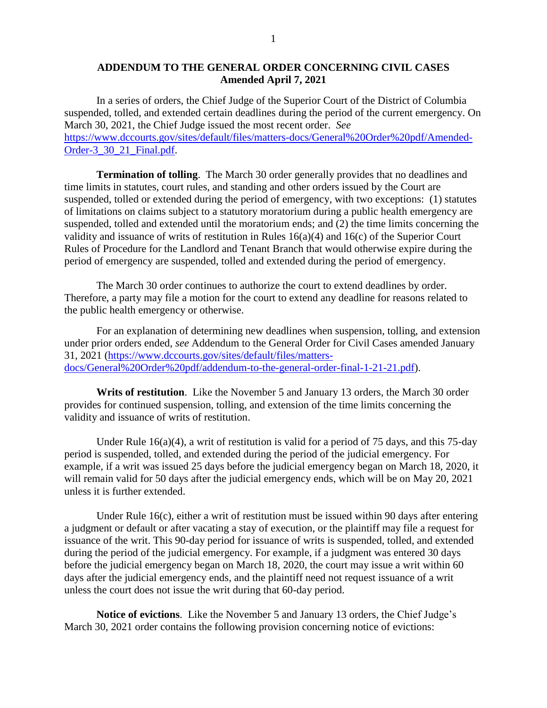## **ADDENDUM TO THE GENERAL ORDER CONCERNING CIVIL CASES Amended April 7, 2021**

In a series of orders, the Chief Judge of the Superior Court of the District of Columbia suspended, tolled, and extended certain deadlines during the period of the current emergency. On March 30, 2021, the Chief Judge issued the most recent order. *See* [https://www.dccourts.gov/sites/default/files/matters-docs/General%20Order%20pdf/Amended-](https://www.dccourts.gov/sites/default/files/matters-docs/General%20Order%20pdf/Amended-Order-3_30_21_Final.pdf)[Order-3\\_30\\_21\\_Final.pdf.](https://www.dccourts.gov/sites/default/files/matters-docs/General%20Order%20pdf/Amended-Order-3_30_21_Final.pdf)

**Termination of tolling**. The March 30 order generally provides that no deadlines and time limits in statutes, court rules, and standing and other orders issued by the Court are suspended, tolled or extended during the period of emergency, with two exceptions: (1) statutes of limitations on claims subject to a statutory moratorium during a public health emergency are suspended, tolled and extended until the moratorium ends; and (2) the time limits concerning the validity and issuance of writs of restitution in Rules 16(a)(4) and 16(c) of the Superior Court Rules of Procedure for the Landlord and Tenant Branch that would otherwise expire during the period of emergency are suspended, tolled and extended during the period of emergency.

The March 30 order continues to authorize the court to extend deadlines by order. Therefore, a party may file a motion for the court to extend any deadline for reasons related to the public health emergency or otherwise.

For an explanation of determining new deadlines when suspension, tolling, and extension under prior orders ended, *see* Addendum to the General Order for Civil Cases amended January 31, 2021 [\(https://www.dccourts.gov/sites/default/files/matters](https://www.dccourts.gov/sites/default/files/matters-docs/General%20Order%20pdf/addendum-to-the-general-order-final-1-21-21.pdf)[docs/General%20Order%20pdf/addendum-to-the-general-order-final-1-21-21.pdf\)](https://www.dccourts.gov/sites/default/files/matters-docs/General%20Order%20pdf/addendum-to-the-general-order-final-1-21-21.pdf).

**Writs of restitution**. Like the November 5 and January 13 orders, the March 30 order provides for continued suspension, tolling, and extension of the time limits concerning the validity and issuance of writs of restitution.

Under Rule  $16(a)(4)$ , a writ of restitution is valid for a period of 75 days, and this 75-day period is suspended, tolled, and extended during the period of the judicial emergency. For example, if a writ was issued 25 days before the judicial emergency began on March 18, 2020, it will remain valid for 50 days after the judicial emergency ends, which will be on May 20, 2021 unless it is further extended.

Under Rule 16(c), either a writ of restitution must be issued within 90 days after entering a judgment or default or after vacating a stay of execution, or the plaintiff may file a request for issuance of the writ. This 90-day period for issuance of writs is suspended, tolled, and extended during the period of the judicial emergency. For example, if a judgment was entered 30 days before the judicial emergency began on March 18, 2020, the court may issue a writ within 60 days after the judicial emergency ends, and the plaintiff need not request issuance of a writ unless the court does not issue the writ during that 60-day period.

**Notice of evictions**. Like the November 5 and January 13 orders, the Chief Judge's March 30, 2021 order contains the following provision concerning notice of evictions: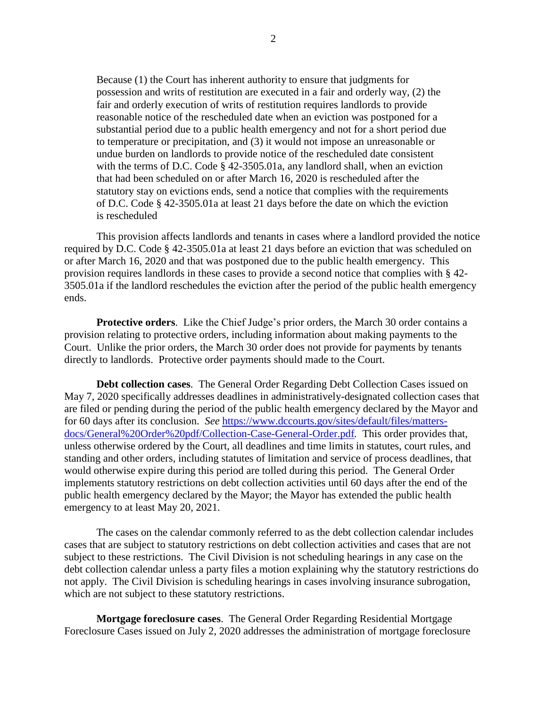Because (1) the Court has inherent authority to ensure that judgments for possession and writs of restitution are executed in a fair and orderly way, (2) the fair and orderly execution of writs of restitution requires landlords to provide reasonable notice of the rescheduled date when an eviction was postponed for a substantial period due to a public health emergency and not for a short period due to temperature or precipitation, and (3) it would not impose an unreasonable or undue burden on landlords to provide notice of the rescheduled date consistent with the terms of D.C. Code § 42-3505.01a, any landlord shall, when an eviction that had been scheduled on or after March 16, 2020 is rescheduled after the statutory stay on evictions ends, send a notice that complies with the requirements of D.C. Code § 42-3505.01a at least 21 days before the date on which the eviction is rescheduled

This provision affects landlords and tenants in cases where a landlord provided the notice required by D.C. Code § 42-3505.01a at least 21 days before an eviction that was scheduled on or after March 16, 2020 and that was postponed due to the public health emergency. This provision requires landlords in these cases to provide a second notice that complies with § 42- 3505.01a if the landlord reschedules the eviction after the period of the public health emergency ends.

**Protective orders**. Like the Chief Judge's prior orders, the March 30 order contains a provision relating to protective orders, including information about making payments to the Court. Unlike the prior orders, the March 30 order does not provide for payments by tenants directly to landlords. Protective order payments should made to the Court.

**Debt collection cases**. The General Order Regarding Debt Collection Cases issued on May 7, 2020 specifically addresses deadlines in administratively-designated collection cases that are filed or pending during the period of the public health emergency declared by the Mayor and for 60 days after its conclusion. *See* [https://www.dccourts.gov/sites/default/files/matters](https://www.dccourts.gov/sites/default/files/matters-docs/General%20Order%20pdf/Collection-Case-General-Order.pdf)[docs/General%20Order%20pdf/Collection-Case-General-Order.pdf](https://www.dccourts.gov/sites/default/files/matters-docs/General%20Order%20pdf/Collection-Case-General-Order.pdf)*.* This order provides that, unless otherwise ordered by the Court, all deadlines and time limits in statutes, court rules, and standing and other orders, including statutes of limitation and service of process deadlines, that would otherwise expire during this period are tolled during this period. The General Order implements statutory restrictions on debt collection activities until 60 days after the end of the public health emergency declared by the Mayor; the Mayor has extended the public health emergency to at least May 20, 2021.

The cases on the calendar commonly referred to as the debt collection calendar includes cases that are subject to statutory restrictions on debt collection activities and cases that are not subject to these restrictions. The Civil Division is not scheduling hearings in any case on the debt collection calendar unless a party files a motion explaining why the statutory restrictions do not apply. The Civil Division is scheduling hearings in cases involving insurance subrogation, which are not subject to these statutory restrictions.

**Mortgage foreclosure cases**. The General Order Regarding Residential Mortgage Foreclosure Cases issued on July 2, 2020 addresses the administration of mortgage foreclosure